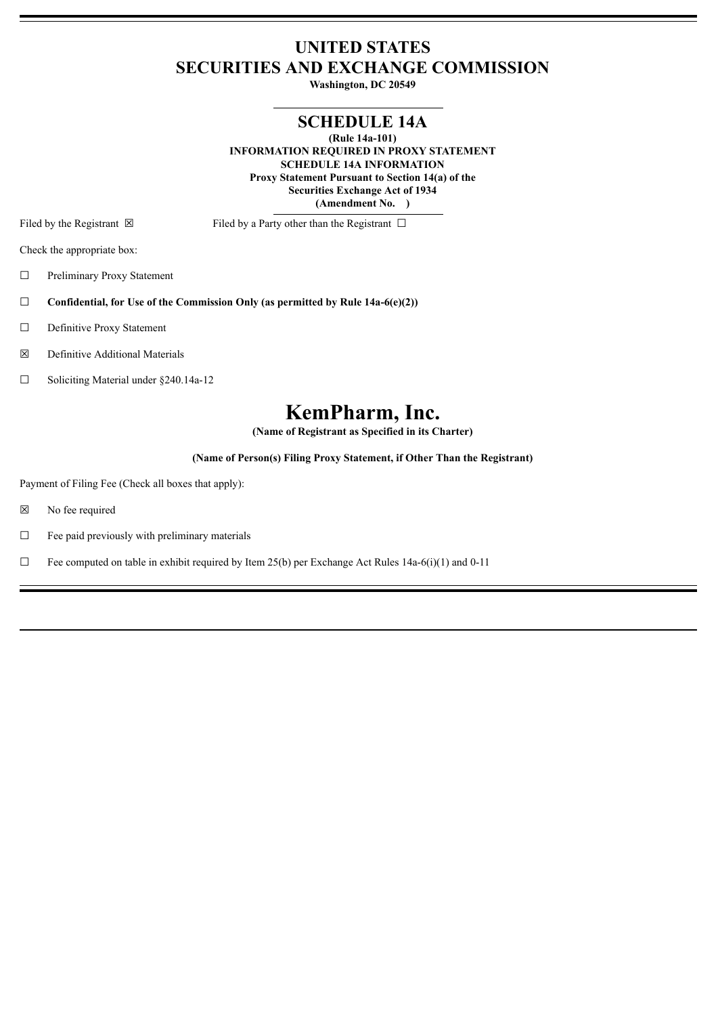## **UNITED STATES SECURITIES AND EXCHANGE COMMISSION**

**Washington, DC 20549**

## **SCHEDULE 14A**

**(Rule 14a-101) INFORMATION REQUIRED IN PROXY STATEMENT SCHEDULE 14A INFORMATION Proxy Statement Pursuant to Section 14(a) of the Securities Exchange Act of 1934 (Amendment No. )**

Filed by the Registrant  $\boxtimes$  Filed by a Party other than the Registrant  $\Box$ 

Check the appropriate box:

☐ Preliminary Proxy Statement

☐ **Confidential, for Use of the Commission Only (as permitted by Rule 14a-6(e)(2))**

☐ Definitive Proxy Statement

☒ Definitive Additional Materials

☐ Soliciting Material under §240.14a-12

# **KemPharm, Inc.**

**(Name of Registrant as Specified in its Charter)**

**(Name of Person(s) Filing Proxy Statement, if Other Than the Registrant)**

Payment of Filing Fee (Check all boxes that apply):

☒ No fee required

 $\Box$  Fee paid previously with preliminary materials

 $\Box$  Fee computed on table in exhibit required by Item 25(b) per Exchange Act Rules 14a-6(i)(1) and 0-11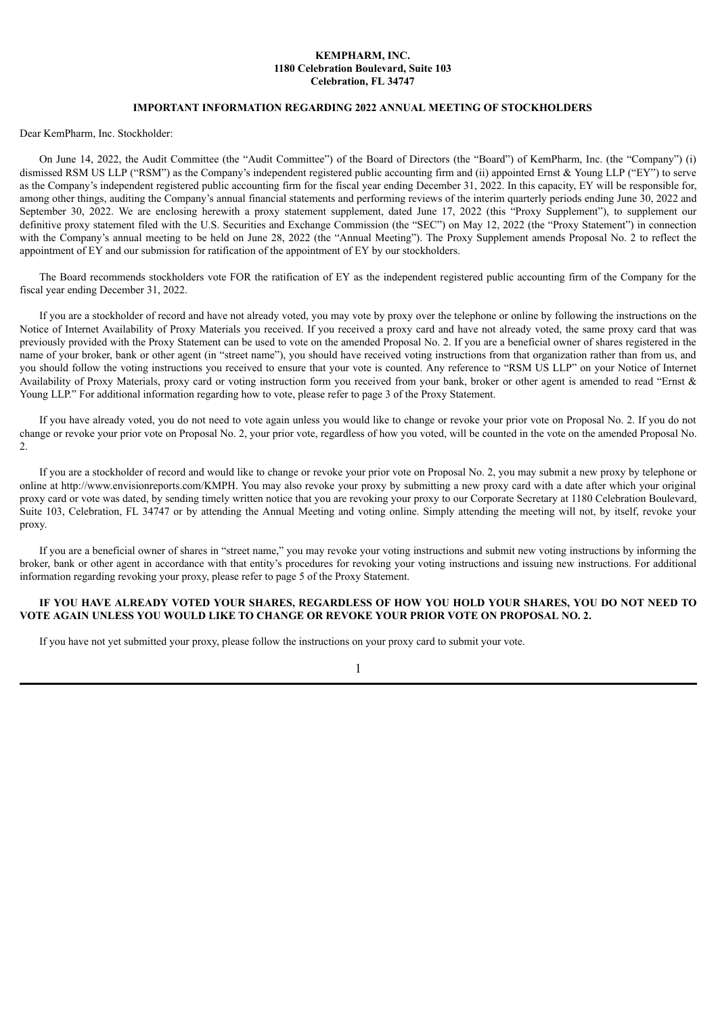#### **KEMPHARM, INC. 1180 Celebration Boulevard, Suite 103 Celebration, FL 34747**

#### **IMPORTANT INFORMATION REGARDING 2022 ANNUAL MEETING OF STOCKHOLDERS**

Dear KemPharm, Inc. Stockholder:

On June 14, 2022, the Audit Committee (the "Audit Committee") of the Board of Directors (the "Board") of KemPharm, Inc. (the "Company") (i) dismissed RSM US LLP ("RSM") as the Company's independent registered public accounting firm and (ii) appointed Ernst & Young LLP ("EY") to serve as the Company's independent registered public accounting firm for the fiscal year ending December 31, 2022. In this capacity, EY will be responsible for, among other things, auditing the Company's annual financial statements and performing reviews of the interim quarterly periods ending June 30, 2022 and September 30, 2022. We are enclosing herewith a proxy statement supplement, dated June 17, 2022 (this "Proxy Supplement"), to supplement our definitive proxy statement filed with the U.S. Securities and Exchange Commission (the "SEC") on May 12, 2022 (the "Proxy Statement") in connection with the Company's annual meeting to be held on June 28, 2022 (the "Annual Meeting"). The Proxy Supplement amends Proposal No. 2 to reflect the appointment of EY and our submission for ratification of the appointment of EY by our stockholders.

The Board recommends stockholders vote FOR the ratification of EY as the independent registered public accounting firm of the Company for the fiscal year ending December 31, 2022.

If you are a stockholder of record and have not already voted, you may vote by proxy over the telephone or online by following the instructions on the Notice of Internet Availability of Proxy Materials you received. If you received a proxy card and have not already voted, the same proxy card that was previously provided with the Proxy Statement can be used to vote on the amended Proposal No. 2. If you are a beneficial owner of shares registered in the name of your broker, bank or other agent (in "street name"), you should have received voting instructions from that organization rather than from us, and you should follow the voting instructions you received to ensure that your vote is counted. Any reference to "RSM US LLP" on your Notice of Internet Availability of Proxy Materials, proxy card or voting instruction form you received from your bank, broker or other agent is amended to read "Ernst & Young LLP." For additional information regarding how to vote, please refer to page 3 of the Proxy Statement.

If you have already voted, you do not need to vote again unless you would like to change or revoke your prior vote on Proposal No. 2. If you do not change or revoke your prior vote on Proposal No. 2, your prior vote, regardless of how you voted, will be counted in the vote on the amended Proposal No.  $\mathcal{L}$ 

If you are a stockholder of record and would like to change or revoke your prior vote on Proposal No. 2, you may submit a new proxy by telephone or online at http://www.envisionreports.com/KMPH. You may also revoke your proxy by submitting a new proxy card with a date after which your original proxy card or vote was dated, by sending timely written notice that you are revoking your proxy to our Corporate Secretary at 1180 Celebration Boulevard, Suite 103, Celebration, FL 34747 or by attending the Annual Meeting and voting online. Simply attending the meeting will not, by itself, revoke your proxy.

If you are a beneficial owner of shares in "street name," you may revoke your voting instructions and submit new voting instructions by informing the broker, bank or other agent in accordance with that entity's procedures for revoking your voting instructions and issuing new instructions. For additional information regarding revoking your proxy, please refer to page 5 of the Proxy Statement.

#### IF YOU HAVE ALREADY VOTED YOUR SHARES, REGARDLESS OF HOW YOU HOLD YOUR SHARES, YOU DO NOT NEED TO **VOTE AGAIN UNLESS YOU WOULD LIKE TO CHANGE OR REVOKE YOUR PRIOR VOTE ON PROPOSAL NO. 2.**

If you have not yet submitted your proxy, please follow the instructions on your proxy card to submit your vote.

1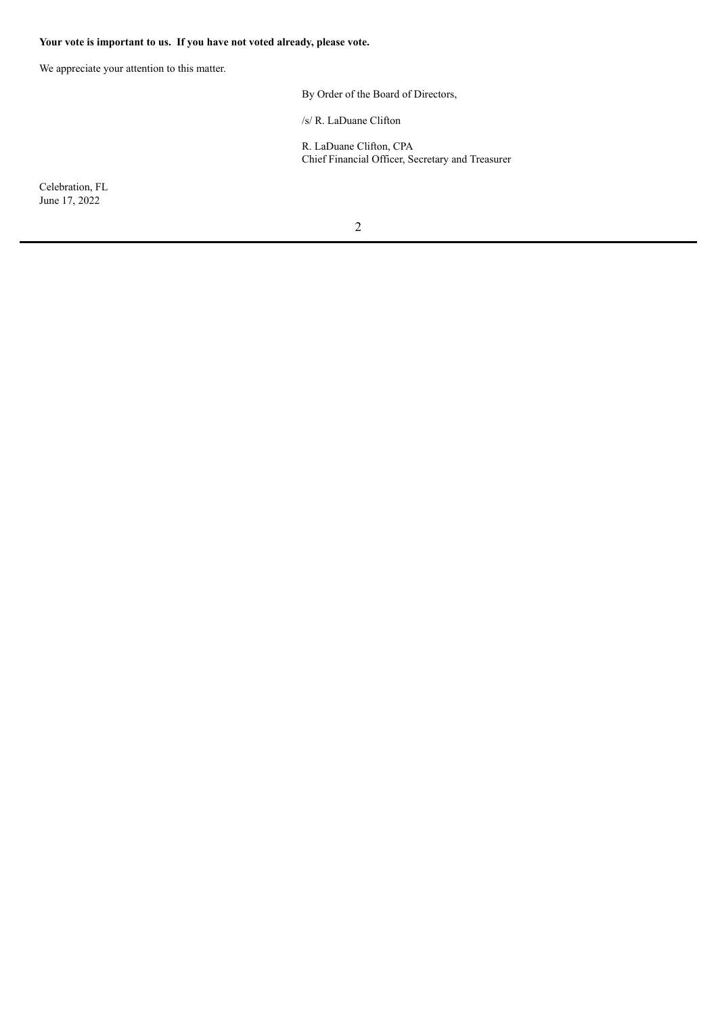## **Your vote is important to us. If you have not voted already, please vote.**

We appreciate your attention to this matter.

By Order of the Board of Directors,

/s/ R. LaDuane Clifton

R. LaDuane Clifton, CPA Chief Financial Officer, Secretary and Treasurer

Celebration, FL June 17, 2022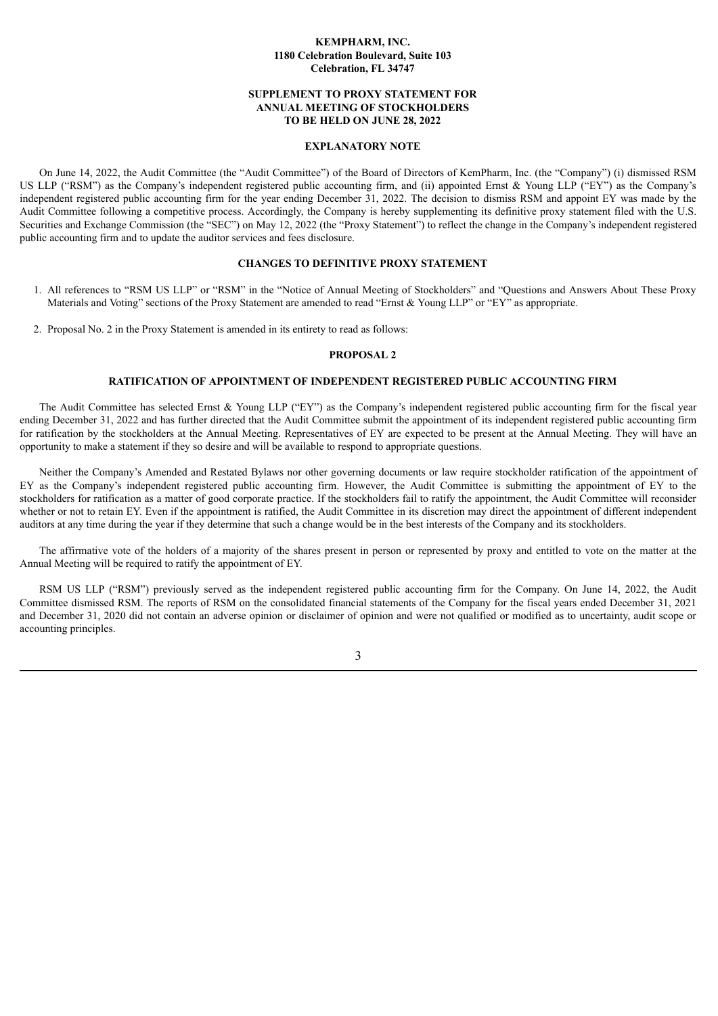#### **KEMPHARM, INC. 1180 Celebration Boulevard, Suite 103 Celebration, FL 34747**

#### **SUPPLEMENT TO PROXY STATEMENT FOR ANNUAL MEETING OF STOCKHOLDERS TO BE HELD ON JUNE 28, 2022**

#### **EXPLANATORY NOTE**

On June 14, 2022, the Audit Committee (the "Audit Committee") of the Board of Directors of KemPharm, Inc. (the "Company") (i) dismissed RSM US LLP ("RSM") as the Company's independent registered public accounting firm, and (ii) appointed Ernst & Young LLP ("EY") as the Company's independent registered public accounting firm for the year ending December 31, 2022. The decision to dismiss RSM and appoint EY was made by the Audit Committee following a competitive process. Accordingly, the Company is hereby supplementing its definitive proxy statement filed with the U.S. Securities and Exchange Commission (the "SEC") on May 12, 2022 (the "Proxy Statement") to reflect the change in the Company's independent registered public accounting firm and to update the auditor services and fees disclosure.

#### **CHANGES TO DEFINITIVE PROXY STATEMENT**

- 1. All references to "RSM US LLP" or "RSM" in the "Notice of Annual Meeting of Stockholders" and "Questions and Answers About These Proxy Materials and Voting" sections of the Proxy Statement are amended to read "Ernst & Young LLP" or "EY" as appropriate.
- 2. Proposal No. 2 in the Proxy Statement is amended in its entirety to read as follows:

#### **PROPOSAL 2**

#### **RATIFICATION OF APPOINTMENT OF INDEPENDENT REGISTERED PUBLIC ACCOUNTING FIRM**

The Audit Committee has selected Ernst & Young LLP ("EY") as the Company's independent registered public accounting firm for the fiscal year ending December 31, 2022 and has further directed that the Audit Committee submit the appointment of its independent registered public accounting firm for ratification by the stockholders at the Annual Meeting. Representatives of EY are expected to be present at the Annual Meeting. They will have an opportunity to make a statement if they so desire and will be available to respond to appropriate questions.

Neither the Company's Amended and Restated Bylaws nor other governing documents or law require stockholder ratification of the appointment of EY as the Company's independent registered public accounting firm. However, the Audit Committee is submitting the appointment of EY to the stockholders for ratification as a matter of good corporate practice. If the stockholders fail to ratify the appointment, the Audit Committee will reconsider whether or not to retain EY. Even if the appointment is ratified, the Audit Committee in its discretion may direct the appointment of different independent auditors at any time during the year if they determine that such a change would be in the best interests of the Company and its stockholders.

The affirmative vote of the holders of a majority of the shares present in person or represented by proxy and entitled to vote on the matter at the Annual Meeting will be required to ratify the appointment of EY.

RSM US LLP ("RSM") previously served as the independent registered public accounting firm for the Company. On June 14, 2022, the Audit Committee dismissed RSM. The reports of RSM on the consolidated financial statements of the Company for the fiscal years ended December 31, 2021 and December 31, 2020 did not contain an adverse opinion or disclaimer of opinion and were not qualified or modified as to uncertainty, audit scope or accounting principles.

3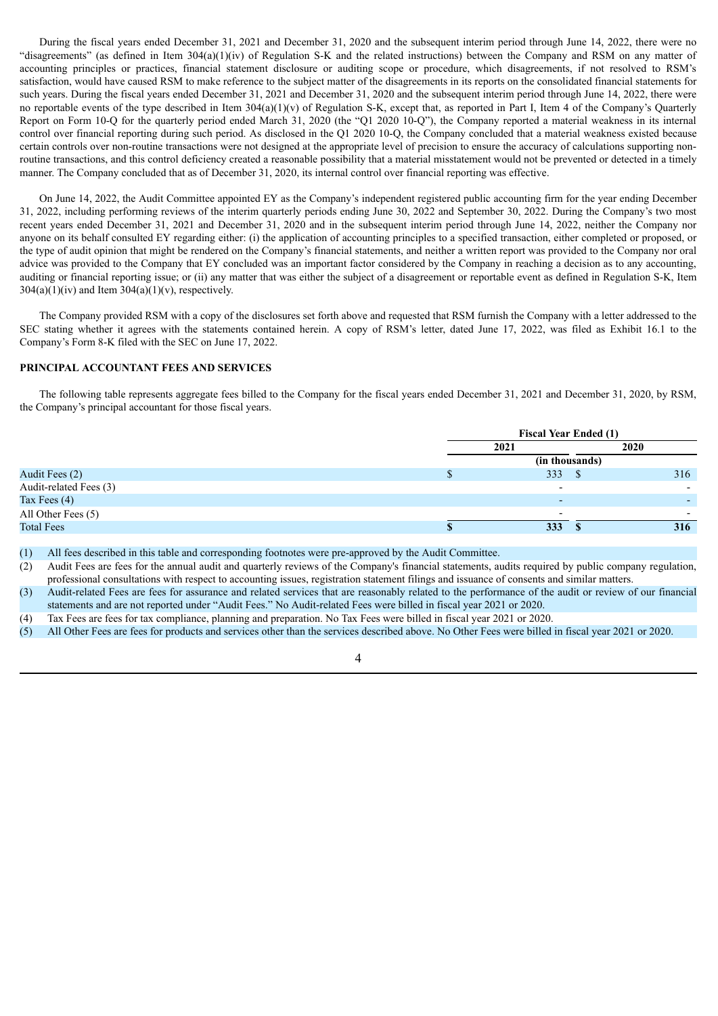During the fiscal years ended December 31, 2021 and December 31, 2020 and the subsequent interim period through June 14, 2022, there were no "disagreements" (as defined in Item 304(a)(1)(iv) of Regulation S-K and the related instructions) between the Company and RSM on any matter of accounting principles or practices, financial statement disclosure or auditing scope or procedure, which disagreements, if not resolved to RSM's satisfaction, would have caused RSM to make reference to the subject matter of the disagreements in its reports on the consolidated financial statements for such years. During the fiscal years ended December 31, 2021 and December 31, 2020 and the subsequent interim period through June 14, 2022, there were no reportable events of the type described in Item 304(a)(1)(v) of Regulation S-K, except that, as reported in Part I, Item 4 of the Company's Quarterly Report on Form 10-Q for the quarterly period ended March 31, 2020 (the "Q1 2020 10-Q"), the Company reported a material weakness in its internal control over financial reporting during such period. As disclosed in the Q1 2020 10-Q, the Company concluded that a material weakness existed because certain controls over non-routine transactions were not designed at the appropriate level of precision to ensure the accuracy of calculations supporting nonroutine transactions, and this control deficiency created a reasonable possibility that a material misstatement would not be prevented or detected in a timely manner. The Company concluded that as of December 31, 2020, its internal control over financial reporting was effective.

On June 14, 2022, the Audit Committee appointed EY as the Company's independent registered public accounting firm for the year ending December 31, 2022, including performing reviews of the interim quarterly periods ending June 30, 2022 and September 30, 2022. During the Company's two most recent years ended December 31, 2021 and December 31, 2020 and in the subsequent interim period through June 14, 2022, neither the Company nor anyone on its behalf consulted EY regarding either: (i) the application of accounting principles to a specified transaction, either completed or proposed, or the type of audit opinion that might be rendered on the Company's financial statements, and neither a written report was provided to the Company nor oral advice was provided to the Company that EY concluded was an important factor considered by the Company in reaching a decision as to any accounting, auditing or financial reporting issue; or (ii) any matter that was either the subject of a disagreement or reportable event as defined in Regulation S-K, Item  $304(a)(1)(iv)$  and Item  $304(a)(1)(v)$ , respectively.

The Company provided RSM with a copy of the disclosures set forth above and requested that RSM furnish the Company with a letter addressed to the SEC stating whether it agrees with the statements contained herein. A copy of RSM's letter, dated June 17, 2022, was filed as Exhibit 16.1 to the Company's Form 8-K filed with the SEC on June 17, 2022.

#### **PRINCIPAL ACCOUNTANT FEES AND SERVICES**

The following table represents aggregate fees billed to the Company for the fiscal years ended December 31, 2021 and December 31, 2020, by RSM, the Company's principal accountant for those fiscal years.

|                        | <b>Fiscal Year Ended (1)</b> |  |             |  |
|------------------------|------------------------------|--|-------------|--|
|                        | 2021                         |  | <b>2020</b> |  |
|                        | (in thousands)               |  |             |  |
| Audit Fees (2)         | 333S                         |  | 316         |  |
| Audit-related Fees (3) | $\overline{\phantom{0}}$     |  |             |  |
| Tax Fees $(4)$         | $\overline{\phantom{0}}$     |  |             |  |
| All Other Fees (5)     |                              |  |             |  |
| <b>Total Fees</b>      | 333                          |  | 316         |  |

(1) All fees described in this table and corresponding footnotes were pre-approved by the Audit Committee.

(2) Audit Fees are fees for the annual audit and quarterly reviews of the Company's financial statements, audits required by public company regulation, professional consultations with respect to accounting issues, registration statement filings and issuance of consents and similar matters.

- (3) Audit-related Fees are fees for assurance and related services that are reasonably related to the performance of the audit or review of our financial statements and are not reported under "Audit Fees." No Audit-related Fees were billed in fiscal year 2021 or 2020.
- (4) Tax Fees are fees for tax compliance, planning and preparation. No Tax Fees were billed in fiscal year 2021 or 2020.
- (5) All Other Fees are fees for products and services other than the services described above. No Other Fees were billed in fiscal year 2021 or 2020.